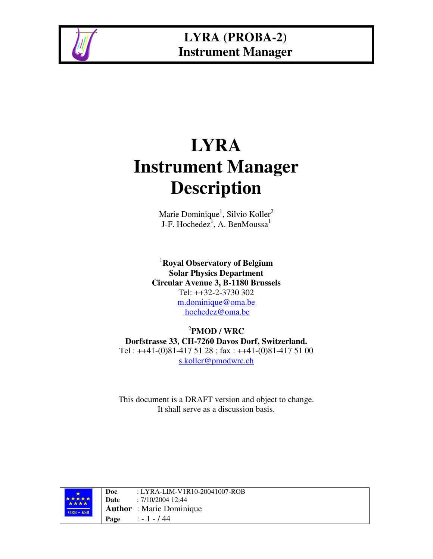

# **LYRA Instrument Manager Description**

Marie Dominique<sup>1</sup>, Silvio Koller<sup>2</sup> J-F. Hochedez<sup>1</sup>, A. BenMoussa<sup>1</sup>

<sup>1</sup>**Royal Observatory of Belgium Solar Physics Department Circular Avenue 3, B-1180 Brussels** Tel: ++32-2-3730 302 m.dominique@oma.be hochedez@oma.be

2 **PMOD / WRC Dorfstrasse 33, CH-7260 Davos Dorf, Switzerland.** Tel :  $++41-(0)81-4175128$ ; fax :  $++41-(0)81-4175100$ s.koller@pmodwrc.ch

This document is a DRAFT version and object to change. It shall serve as a discussion basis.



**Doc** : LYRA-LIM-V1R10-20041007-ROB **Date** : 7/10/2004 12:44 **Author** : Marie Dominique **Page** : - 1 - / 44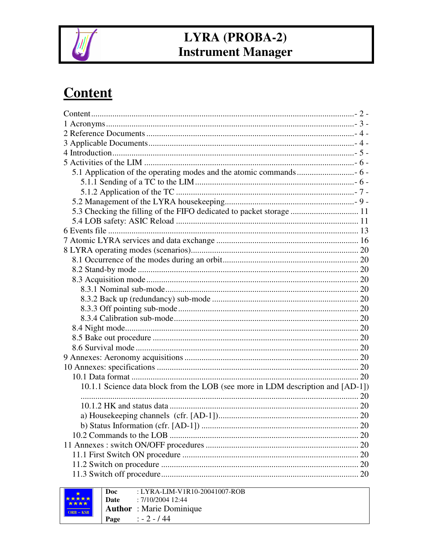

# **Content**

| 5.3 Checking the filling of the FIFO dedicated to packet storage  11            |  |
|---------------------------------------------------------------------------------|--|
|                                                                                 |  |
|                                                                                 |  |
|                                                                                 |  |
|                                                                                 |  |
|                                                                                 |  |
|                                                                                 |  |
|                                                                                 |  |
|                                                                                 |  |
|                                                                                 |  |
|                                                                                 |  |
|                                                                                 |  |
|                                                                                 |  |
|                                                                                 |  |
|                                                                                 |  |
|                                                                                 |  |
|                                                                                 |  |
|                                                                                 |  |
| 10.1.1 Science data block from the LOB (see more in LDM description and [AD-1]) |  |
|                                                                                 |  |
|                                                                                 |  |
|                                                                                 |  |
|                                                                                 |  |
|                                                                                 |  |
|                                                                                 |  |
|                                                                                 |  |
|                                                                                 |  |
|                                                                                 |  |
|                                                                                 |  |

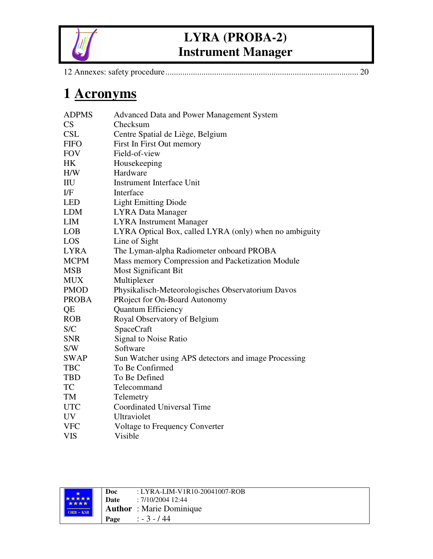

|--|--|

# **1 Acronyms**

| <b>ADPMS</b> | Advanced Data and Power Management System              |
|--------------|--------------------------------------------------------|
| CS           | Checksum                                               |
| <b>CSL</b>   | Centre Spatial de Liège, Belgium                       |
| <b>FIFO</b>  | First In First Out memory                              |
| <b>FOV</b>   | Field-of-view                                          |
| HK           | Housekeeping                                           |
| H/W          | Hardware                                               |
| IIU          | <b>Instrument Interface Unit</b>                       |
| $_{\rm I/F}$ | Interface                                              |
| <b>LED</b>   | <b>Light Emitting Diode</b>                            |
| <b>LDM</b>   | <b>LYRA Data Manager</b>                               |
| <b>LIM</b>   | <b>LYRA</b> Instrument Manager                         |
| <b>LOB</b>   | LYRA Optical Box, called LYRA (only) when no ambiguity |
| LOS          | Line of Sight                                          |
| <b>LYRA</b>  | The Lyman-alpha Radiometer onboard PROBA               |
| <b>MCPM</b>  | Mass memory Compression and Packetization Module       |
| <b>MSB</b>   | Most Significant Bit                                   |
| <b>MUX</b>   | Multiplexer                                            |
| <b>PMOD</b>  | Physikalisch-Meteorologisches Observatorium Davos      |
| <b>PROBA</b> | PRoject for On-Board Autonomy                          |
| QE           | Quantum Efficiency                                     |
| <b>ROB</b>   | Royal Observatory of Belgium                           |
| S/C          | <b>SpaceCraft</b>                                      |
| <b>SNR</b>   | Signal to Noise Ratio                                  |
| S/W          | Software                                               |
| <b>SWAP</b>  | Sun Watcher using APS detectors and image Processing   |
| <b>TBC</b>   | To Be Confirmed                                        |
| <b>TBD</b>   | To Be Defined                                          |
| TC           | Telecommand                                            |
| TM           | Telemetry                                              |
| <b>UTC</b>   | Coordinated Universal Time                             |
| UV           | Ultraviolet                                            |
| <b>VFC</b>   | Voltage to Frequency Converter                         |
| <b>VIS</b>   | Visible                                                |

|                      | Doc  | : LYRA-LIM-V1R10-20041007-ROB   |
|----------------------|------|---------------------------------|
| <b>*****</b><br>**** | Date | : 7/10/2004 12:44               |
| $ORB - KSB$          |      | <b>Author</b> : Marie Dominique |
|                      | Page | $\therefore$ - 3 - 144          |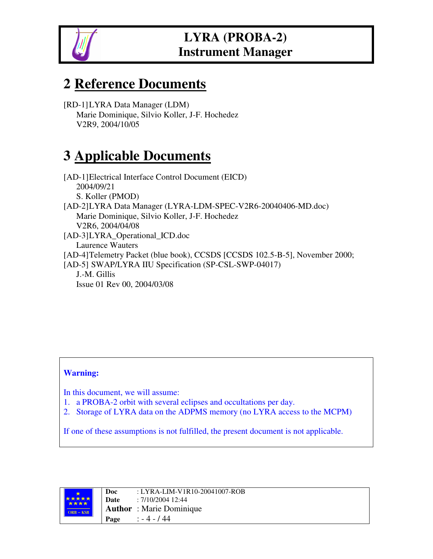

# **2 Reference Documents**

[RD-1]LYRA Data Manager (LDM) Marie Dominique, Silvio Koller, J-F. Hochedez V2R9, 2004/10/05

# **3 Applicable Documents**

[AD-1]Electrical Interface Control Document (EICD) 2004/09/21 S. Koller (PMOD) [AD-2]LYRA Data Manager (LYRA-LDM-SPEC-V2R6-20040406-MD.doc) Marie Dominique, Silvio Koller, J-F. Hochedez V2R6, 2004/04/08 [AD-3]LYRA\_Operational\_ICD.doc Laurence Wauters [AD-4]Telemetry Packet (blue book), CCSDS [CCSDS 102.5-B-5], November 2000; [AD-5] SWAP/LYRA IIU Specification (SP-CSL-SWP-04017) J.-M. Gillis Issue 01 Rev 00, 2004/03/08

#### **Warning:**

In this document, we will assume:

- 1. a PROBA-2 orbit with several eclipses and occultations per day.
- 2. Storage of LYRA data on the ADPMS memory (no LYRA access to the MCPM)

If one of these assumptions is not fulfilled, the present document is not applicable.

|              | Doc  | : LYRA-LIM-V1R10-20041007-ROB   |
|--------------|------|---------------------------------|
| <b>★★★★★</b> | Date | : 7/10/2004 12:44               |
| $ORB - KSB$  |      | <b>Author</b> : Marie Dominique |
|              | Page | $: -4 - 144$                    |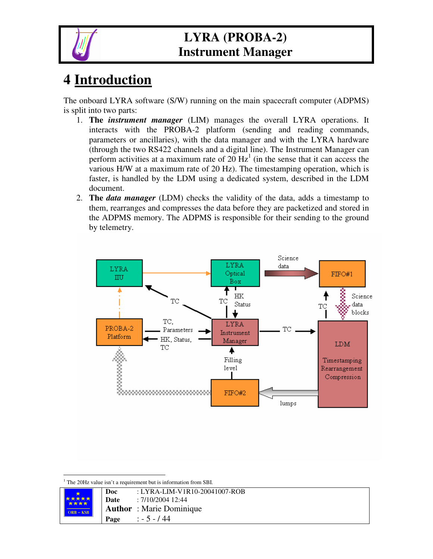

# **4 Introduction**

The onboard LYRA software (S/W) running on the main spacecraft computer (ADPMS) is split into two parts:

- 1. **The** *instrument manager* (LIM) manages the overall LYRA operations. It interacts with the PROBA-2 platform (sending and reading commands, parameters or ancillaries), with the data manager and with the LYRA hardware (through the two RS422 channels and a digital line). The Instrument Manager can perform activities at a maximum rate of  $20 \text{ Hz}^1$  (in the sense that it can access the various H/W at a maximum rate of 20 Hz). The timestamping operation, which is faster, is handled by the LDM using a dedicated system, described in the LDM document.
- 2. **The** *data manager* (LDM) checks the validity of the data, adds a timestamp to them, rearranges and compresses the data before they are packetized and stored in the ADPMS memory. The ADPMS is responsible for their sending to the ground by telemetry.



<sup>&</sup>lt;sup>1</sup> The 20Hz value isn't a requirement but is information from SBI.

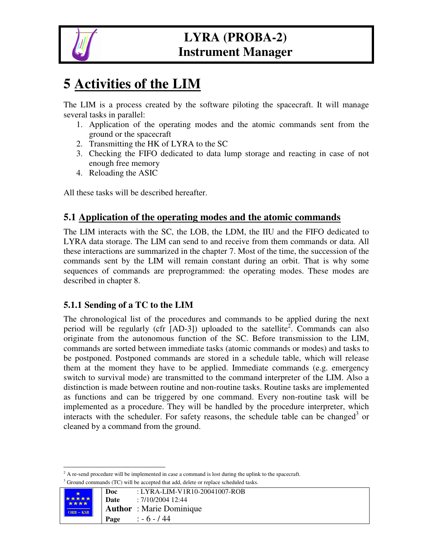

# **5 Activities of the LIM**

The LIM is a process created by the software piloting the spacecraft. It will manage several tasks in parallel:

- 1. Application of the operating modes and the atomic commands sent from the ground or the spacecraft
- 2. Transmitting the HK of LYRA to the SC
- 3. Checking the FIFO dedicated to data lump storage and reacting in case of not enough free memory
- 4. Reloading the ASIC

All these tasks will be described hereafter.

#### **5.1 Application of the operating modes and the atomic commands**

The LIM interacts with the SC, the LOB, the LDM, the IIU and the FIFO dedicated to LYRA data storage. The LIM can send to and receive from them commands or data. All these interactions are summarized in the chapter 7. Most of the time, the succession of the commands sent by the LIM will remain constant during an orbit. That is why some sequences of commands are preprogrammed: the operating modes. These modes are described in chapter 8.

#### **5.1.1 Sending of a TC to the LIM**

The chronological list of the procedures and commands to be applied during the next period will be regularly (cfr [AD-3]) uploaded to the satellite<sup>2</sup>. Commands can also originate from the autonomous function of the SC. Before transmission to the LIM, commands are sorted between immediate tasks (atomic commands or modes) and tasks to be postponed. Postponed commands are stored in a schedule table, which will release them at the moment they have to be applied. Immediate commands (e.g. emergency switch to survival mode) are transmitted to the command interpreter of the LIM. Also a distinction is made between routine and non-routine tasks. Routine tasks are implemented as functions and can be triggered by one command. Every non-routine task will be implemented as a procedure. They will be handled by the procedure interpreter, which interacts with the scheduler. For safety reasons, the schedule table can be changed<sup>3</sup> or cleaned by a command from the ground.

 $2 A$  re-send procedure will be implemented in case a command is lost during the uplink to the spacecraft. <sup>3</sup> Ground commands (TC) will be accepted that add, delete or replace scheduled tasks.

|  |                      | Doc  | $: LYRA-LIM-V1R10-20041007-ROB$ |
|--|----------------------|------|---------------------------------|
|  | *****<br><b>****</b> | Date | : 7/10/2004 12:44               |
|  | $ORB - KSB$          |      | <b>Author</b> : Marie Dominique |
|  |                      |      | Page : $-6 - 44$                |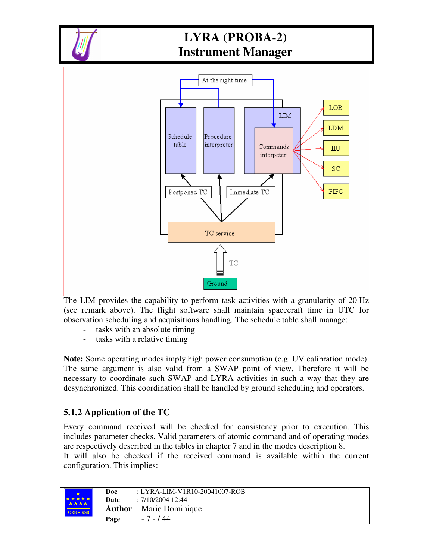



The LIM provides the capability to perform task activities with a granularity of 20 Hz (see remark above). The flight software shall maintain spacecraft time in UTC for observation scheduling and acquisitions handling. The schedule table shall manage:

- tasks with an absolute timing
- tasks with a relative timing

**Note:** Some operating modes imply high power consumption (e.g. UV calibration mode). The same argument is also valid from a SWAP point of view. Therefore it will be necessary to coordinate such SWAP and LYRA activities in such a way that they are desynchronized. This coordination shall be handled by ground scheduling and operators.

#### **5.1.2 Application of the TC**

Every command received will be checked for consistency prior to execution. This includes parameter checks. Valid parameters of atomic command and of operating modes are respectively described in the tables in chapter 7 and in the modes description 8. It will also be checked if the received command is available within the current configuration. This implies:

|               | Doc  | $: LYRA-LIM-V1R10-20041007-ROB$ |
|---------------|------|---------------------------------|
| *****<br>**** | Date | : 7/10/2004 12:44               |
| $ORB - KSB$   |      | <b>Author</b> : Marie Dominique |
|               | Page | $: -7 - 144$                    |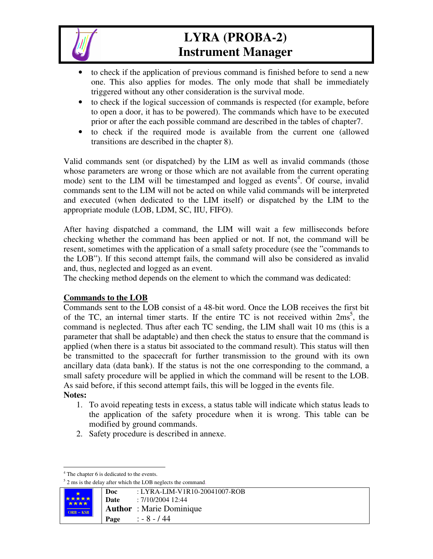

- to check if the application of previous command is finished before to send a new one. This also applies for modes. The only mode that shall be immediately triggered without any other consideration is the survival mode.
- to check if the logical succession of commands is respected (for example, before to open a door, it has to be powered). The commands which have to be executed prior or after the each possible command are described in the tables of chapter7.
- to check if the required mode is available from the current one (allowed transitions are described in the chapter 8).

Valid commands sent (or dispatched) by the LIM as well as invalid commands (those whose parameters are wrong or those which are not available from the current operating mode) sent to the LIM will be timestamped and logged as events<sup>4</sup>. Of course, invalid commands sent to the LIM will not be acted on while valid commands will be interpreted and executed (when dedicated to the LIM itself) or dispatched by the LIM to the appropriate module (LOB, LDM, SC, IIU, FIFO).

After having dispatched a command, the LIM will wait a few milliseconds before checking whether the command has been applied or not. If not, the command will be resent, sometimes with the application of a small safety procedure (see the "commands to the LOB"). If this second attempt fails, the command will also be considered as invalid and, thus, neglected and logged as an event.

The checking method depends on the element to which the command was dedicated:

#### **Commands to the LOB**

Commands sent to the LOB consist of a 48-bit word. Once the LOB receives the first bit of the TC, an internal timer starts. If the entire TC is not received within  $2ms^5$ , the command is neglected. Thus after each TC sending, the LIM shall wait 10 ms (this is a parameter that shall be adaptable) and then check the status to ensure that the command is applied (when there is a status bit associated to the command result). This status will then be transmitted to the spacecraft for further transmission to the ground with its own ancillary data (data bank). If the status is not the one corresponding to the command, a small safety procedure will be applied in which the command will be resent to the LOB. As said before, if this second attempt fails, this will be logged in the events file. **Notes:**

- 1. To avoid repeating tests in excess, a status table will indicate which status leads to the application of the safety procedure when it is wrong. This table can be modified by ground commands.
- 2. Safety procedure is described in annexe.

<sup>&</sup>lt;sup>5</sup> 2 ms is the delay after which the LOB neglects the command.



<sup>4</sup> The chapter 6 is dedicated to the events.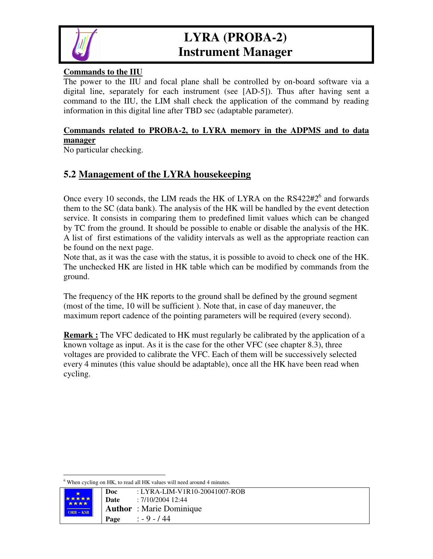

#### **Commands to the IIU**

The power to the IIU and focal plane shall be controlled by on-board software via a digital line, separately for each instrument (see [AD-5]). Thus after having sent a command to the IIU, the LIM shall check the application of the command by reading information in this digital line after TBD sec (adaptable parameter).

#### **Commands related to PROBA-2, to LYRA memory in the ADPMS and to data manager**

No particular checking.

#### **5.2 Management of the LYRA housekeeping**

Once every 10 seconds, the LIM reads the HK of LYRA on the RS422#2<sup>6</sup> and forwards them to the SC (data bank). The analysis of the HK will be handled by the event detection service. It consists in comparing them to predefined limit values which can be changed by TC from the ground. It should be possible to enable or disable the analysis of the HK. A list of first estimations of the validity intervals as well as the appropriate reaction can be found on the next page.

Note that, as it was the case with the status, it is possible to avoid to check one of the HK. The unchecked HK are listed in HK table which can be modified by commands from the ground.

The frequency of the HK reports to the ground shall be defined by the ground segment (most of the time, 10 will be sufficient ). Note that, in case of day maneuver, the maximum report cadence of the pointing parameters will be required (every second).

**Remark :** The VFC dedicated to HK must regularly be calibrated by the application of a known voltage as input. As it is the case for the other VFC (see chapter 8.3), three voltages are provided to calibrate the VFC. Each of them will be successively selected every 4 minutes (this value should be adaptable), once all the HK have been read when cycling.

 $6$  When cycling on HK, to read all HK values will need around 4 minutes.

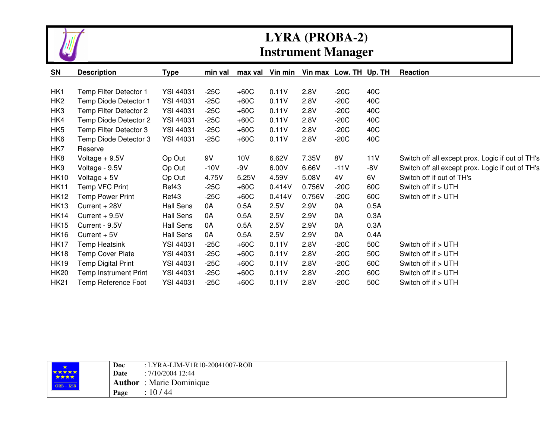

| <b>SN</b>       | <b>Description</b>           | Type             | min val | max val | Vin min |        | Vin max Low. TH Up. TH |      | Reaction                                         |
|-----------------|------------------------------|------------------|---------|---------|---------|--------|------------------------|------|--------------------------------------------------|
|                 |                              |                  |         |         |         |        |                        |      |                                                  |
| HK1             | Temp Filter Detector 1       | <b>YSI 44031</b> | $-25C$  | $+60C$  | 0.11V   | 2.8V   | $-20C$                 | 40C  |                                                  |
| HK <sub>2</sub> | Temp Diode Detector 1        | <b>YSI 44031</b> | $-25C$  | $+60C$  | 0.11V   | 2.8V   | $-20C$                 | 40C  |                                                  |
| HK3             | Temp Filter Detector 2       | <b>YSI 44031</b> | $-25C$  | $+60C$  | 0.11V   | 2.8V   | $-20C$                 | 40C  |                                                  |
| HK4             | Temp Diode Detector 2        | <b>YSI 44031</b> | $-25C$  | $+60C$  | 0.11V   | 2.8V   | $-20C$                 | 40C  |                                                  |
| HK <sub>5</sub> | Temp Filter Detector 3       | <b>YSI 44031</b> | $-25C$  | $+60C$  | 0.11V   | 2.8V   | $-20C$                 | 40C  |                                                  |
| HK <sub>6</sub> | Temp Diode Detector 3        | <b>YSI 44031</b> | $-25C$  | $+60C$  | 0.11V   | 2.8V   | $-20C$                 | 40C  |                                                  |
| HK7             | Reserve                      |                  |         |         |         |        |                        |      |                                                  |
| HK <sub>8</sub> | Voltage $+9.5V$              | Op Out           | 9V      | 10V     | 6.62V   | 7.35V  | 8V                     | 11V  | Switch off all except prox. Logic if out of TH's |
| HK9             | Voltage - 9.5V               | Op Out           | $-10V$  | $-9V$   | 6.00V   | 6.66V  | $-11V$                 | -8V  | Switch off all except prox. Logic if out of TH's |
| <b>HK10</b>     | Voltage $+5V$                | Op Out           | 4.75V   | 5.25V   | 4.59V   | 5.08V  | 4V                     | 6V   | Switch off if out of TH's                        |
| <b>HK11</b>     | Temp VFC Print               | Ref43            | $-25C$  | $+60C$  | 0.414V  | 0.756V | $-20C$                 | 60C  | Switch off if > UTH                              |
| <b>HK12</b>     | Temp Power Print             | Ref43            | -25C    | $+60C$  | 0.414V  | 0.756V | $-20C$                 | 60C  | Switch off if > UTH                              |
| <b>HK13</b>     | Current + 28V                | <b>Hall Sens</b> | 0A      | 0.5A    | 2.5V    | 2.9V   | 0A                     | 0.5A |                                                  |
| <b>HK14</b>     | $Current + 9.5V$             | <b>Hall Sens</b> | 0A      | 0.5A    | 2.5V    | 2.9V   | 0A                     | 0.3A |                                                  |
| <b>HK15</b>     | Current - 9.5V               | <b>Hall Sens</b> | 0A      | 0.5A    | 2.5V    | 2.9V   | 0A                     | 0.3A |                                                  |
| <b>HK16</b>     | Current + 5V                 | <b>Hall Sens</b> | 0A      | 0.5A    | 2.5V    | 2.9V   | 0A                     | 0.4A |                                                  |
| <b>HK17</b>     | Temp Heatsink                | <b>YSI 44031</b> | $-25C$  | $+60C$  | 0.11V   | 2.8V   | $-20C$                 | 50C  | Switch off if > UTH                              |
| <b>HK18</b>     | Temp Cover Plate             | <b>YSI 44031</b> | $-25C$  | $+60C$  | 0.11V   | 2.8V   | $-20C$                 | 50C  | Switch off if > UTH                              |
| <b>HK19</b>     | Temp Digital Print           | <b>YSI 44031</b> | $-25C$  | $+60C$  | 0.11V   | 2.8V   | $-20C$                 | 60C  | Switch off if > UTH                              |
| <b>HK20</b>     | <b>Temp Instrument Print</b> | <b>YSI 44031</b> | $-25C$  | $+60C$  | 0.11V   | 2.8V   | $-20C$                 | 60C  | Switch off if > UTH                              |
| <b>HK21</b>     | Temp Reference Foot          | <b>YSI 44031</b> | $-25C$  | $+60C$  | 0.11V   | 2.8V   | $-20C$                 | 50C  | Switch off if > UTH                              |

|                                                                                                                                    | Doc    | : LYRA-LIM-V1R10-20041007-ROB |
|------------------------------------------------------------------------------------------------------------------------------------|--------|-------------------------------|
| <b>*****</b><br>****                                                                                                               | Date   | $: 7/10/2004$ 12:44           |
| <u> Terminal de la propincia de la propincia de la propincia de la propincia de la propincia de la propincia de</u><br>$ORB - KSB$ | Author | : Marie Dominique             |
|                                                                                                                                    | Page   | 10/44                         |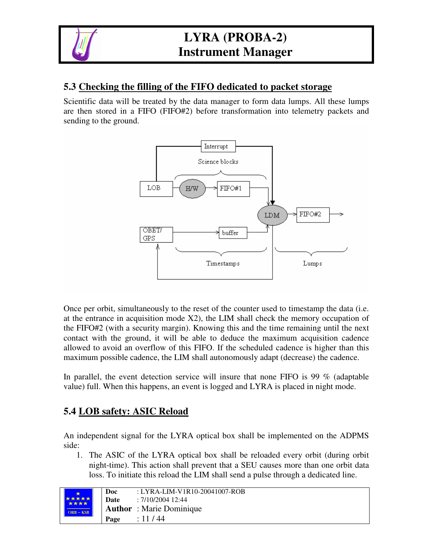

#### **5.3 Checking the filling of the FIFO dedicated to packet storage**

Scientific data will be treated by the data manager to form data lumps. All these lumps are then stored in a FIFO (FIFO#2) before transformation into telemetry packets and sending to the ground.



Once per orbit, simultaneously to the reset of the counter used to timestamp the data (i.e. at the entrance in acquisition mode  $X2$ ), the LIM shall check the memory occupation of the FIFO#2 (with a security margin). Knowing this and the time remaining until the next contact with the ground, it will be able to deduce the maximum acquisition cadence allowed to avoid an overflow of this FIFO. If the scheduled cadence is higher than this maximum possible cadence, the LIM shall autonomously adapt (decrease) the cadence.

In parallel, the event detection service will insure that none FIFO is 99 % (adaptable value) full. When this happens, an event is logged and LYRA is placed in night mode.

#### **5.4 LOB safety: ASIC Reload**

An independent signal for the LYRA optical box shall be implemented on the ADPMS side:

1. The ASIC of the LYRA optical box shall be reloaded every orbit (during orbit night-time). This action shall prevent that a SEU causes more than one orbit data loss. To initiate this reload the LIM shall send a pulse through a dedicated line.

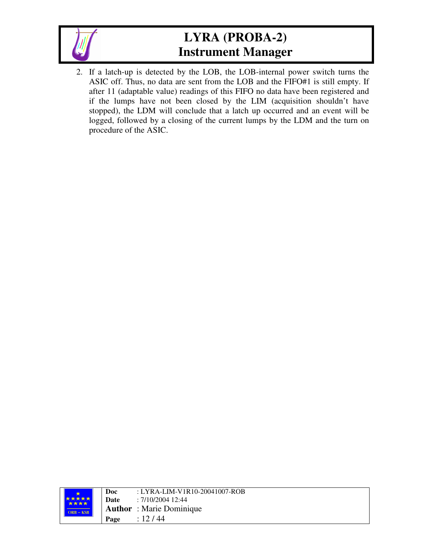

2. If a latch-up is detected by the LOB, the LOB-internal power switch turns the ASIC off. Thus, no data are sent from the LOB and the FIFO#1 is still empty. If after 11 (adaptable value) readings of this FIFO no data have been registered and if the lumps have not been closed by the LIM (acquisition shouldn't have stopped), the LDM will conclude that a latch up occurred and an event will be logged, followed by a closing of the current lumps by the LDM and the turn on procedure of the ASIC.

|               | Doc  | : LYRA-LIM-V1R10-20041007-ROB   |
|---------------|------|---------------------------------|
| 大大大大大<br>**** | Date | : 7/10/2004 12:44               |
| $ORB - KSB$   |      | <b>Author</b> : Marie Dominique |
|               | Page | : 12/44                         |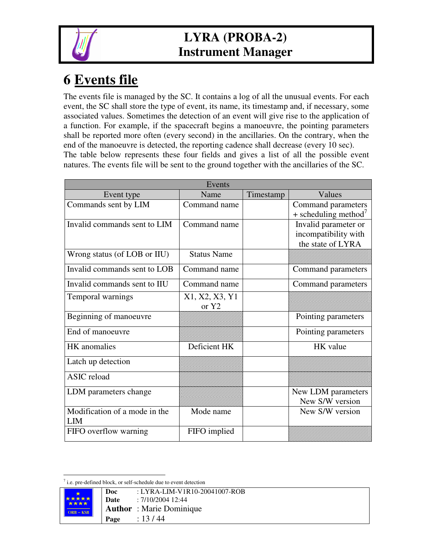

# **6 Events file**

The events file is managed by the SC. It contains a log of all the unusual events. For each event, the SC shall store the type of event, its name, its timestamp and, if necessary, some associated values. Sometimes the detection of an event will give rise to the application of a function. For example, if the spacecraft begins a manoeuvre, the pointing parameters shall be reported more often (every second) in the ancillaries. On the contrary, when the end of the manoeuvre is detected, the reporting cadence shall decrease (every 10 sec). The table below represents these four fields and gives a list of all the possible event natures. The events file will be sent to the ground together with the ancillaries of the SC.

| Events                               |                         |           |                                                                   |  |  |
|--------------------------------------|-------------------------|-----------|-------------------------------------------------------------------|--|--|
| Event type                           | Name                    | Timestamp | Values                                                            |  |  |
| Commands sent by LIM                 | Command name            |           | Command parameters<br>$+$ scheduling method <sup>'</sup>          |  |  |
| Invalid commands sent to LIM         | Command name            |           | Invalid parameter or<br>incompatibility with<br>the state of LYRA |  |  |
| Wrong status (of LOB or IIU)         | <b>Status Name</b>      |           |                                                                   |  |  |
| Invalid commands sent to LOB         | Command name            |           | Command parameters                                                |  |  |
| Invalid commands sent to IIU         | Command name            |           | Command parameters                                                |  |  |
| Temporal warnings                    | X1, X2, X3, Y1<br>or Y2 |           |                                                                   |  |  |
| Beginning of manoeuvre               |                         |           | Pointing parameters                                               |  |  |
| End of manoeuvre                     |                         |           | Pointing parameters                                               |  |  |
| HK anomalies                         | Deficient HK            |           | HK value                                                          |  |  |
| Latch up detection                   |                         |           |                                                                   |  |  |
| <b>ASIC</b> reload                   |                         |           |                                                                   |  |  |
| LDM parameters change                |                         |           | New LDM parameters<br>New S/W version                             |  |  |
| Modification of a mode in the<br>LIM | Mode name               |           | New S/W version                                                   |  |  |
| FIFO overflow warning                | FIFO implied            |           |                                                                   |  |  |

 $<sup>7</sup>$  i.e. pre-defined block, or self-schedule due to event detection</sup>

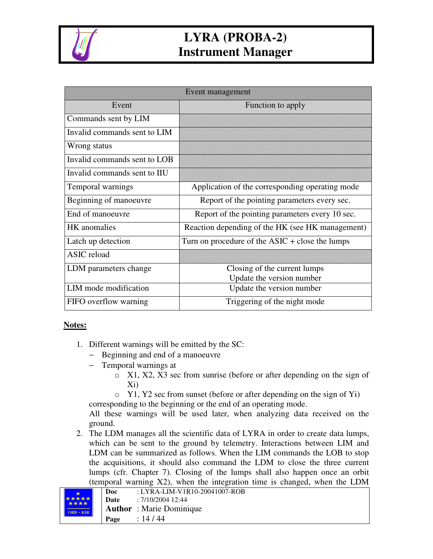

| Event management             |                                                                 |  |  |  |
|------------------------------|-----------------------------------------------------------------|--|--|--|
| Event                        | Function to apply                                               |  |  |  |
| Commands sent by LIM         |                                                                 |  |  |  |
| Invalid commands sent to LIM |                                                                 |  |  |  |
| Wrong status                 |                                                                 |  |  |  |
| Invalid commands sent to LOB |                                                                 |  |  |  |
| Invalid commands sent to IIU |                                                                 |  |  |  |
| Temporal warnings            | Application of the corresponding operating mode                 |  |  |  |
| Beginning of manoeuvre       | Report of the pointing parameters every sec.                    |  |  |  |
| End of manoeuvre             | Report of the pointing parameters every 10 sec.                 |  |  |  |
| <b>HK</b> anomalies          | Reaction depending of the HK (see HK management)                |  |  |  |
| Latch up detection           | Turn on procedure of the $\text{ASIC} + \text{close}$ the lumps |  |  |  |
| <b>ASIC</b> reload           |                                                                 |  |  |  |
| LDM parameters change        | Closing of the current lumps                                    |  |  |  |
|                              | Update the version number                                       |  |  |  |
| LIM mode modification        | Update the version number                                       |  |  |  |
| FIFO overflow warning        | Triggering of the night mode                                    |  |  |  |

#### **Notes:**

- 1. Different warnings will be emitted by the SC:
	- − Beginning and end of a manoeuvre
	- − Temporal warnings at
		- o X1, X2, X3 sec from sunrise (before or after depending on the sign of Xi)
		- o Y1, Y2 sec from sunset (before or after depending on the sign of Yi)

corresponding to the beginning or the end of an operating mode.

All these warnings will be used later, when analyzing data received on the ground.

2. The LDM manages all the scientific data of LYRA in order to create data lumps, which can be sent to the ground by telemetry. Interactions between LIM and LDM can be summarized as follows. When the LIM commands the LOB to stop the acquisitions, it should also command the LDM to close the three current lumps (cfr. Chapter 7). Closing of the lumps shall also happen once an orbit (temporal warning X2), when the integration time is changed, when the LDM

|                      | Doc         | : LYRA-LIM-V1R10-20041007-ROB   |
|----------------------|-------------|---------------------------------|
| <b>*****</b><br>**** | <b>Date</b> | $: 7/10/2004$ 12:44             |
| $ORB - KSB$          |             | <b>Author</b> : Marie Dominique |
|                      | Page        | : 14/44                         |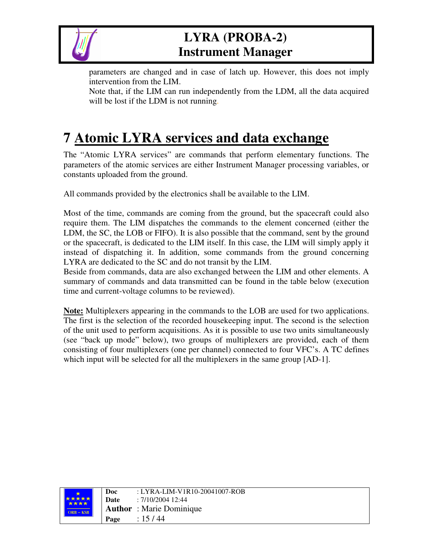

parameters are changed and in case of latch up. However, this does not imply intervention from the LIM.

Note that, if the LIM can run independently from the LDM, all the data acquired will be lost if the LDM is not running.

# **7 Atomic LYRA services and data exchange**

The "Atomic LYRA services" are commands that perform elementary functions. The parameters of the atomic services are either Instrument Manager processing variables, or constants uploaded from the ground.

All commands provided by the electronics shall be available to the LIM.

Most of the time, commands are coming from the ground, but the spacecraft could also require them. The LIM dispatches the commands to the element concerned (either the LDM, the SC, the LOB or FIFO). It is also possible that the command, sent by the ground or the spacecraft, is dedicated to the LIM itself. In this case, the LIM will simply apply it instead of dispatching it. In addition, some commands from the ground concerning LYRA are dedicated to the SC and do not transit by the LIM.

Beside from commands, data are also exchanged between the LIM and other elements. A summary of commands and data transmitted can be found in the table below (execution time and current-voltage columns to be reviewed).

**Note:** Multiplexers appearing in the commands to the LOB are used for two applications. The first is the selection of the recorded housekeeping input. The second is the selection of the unit used to perform acquisitions. As it is possible to use two units simultaneously (see "back up mode" below), two groups of multiplexers are provided, each of them consisting of four multiplexers (one per channel) connected to four VFC's. A TC defines which input will be selected for all the multiplexers in the same group [AD-1].

| <b>*****</b><br>**** | Doc<br>Date | : LYRA-LIM-V1R10-20041007-ROB<br>: 7/10/2004 12:44 |
|----------------------|-------------|----------------------------------------------------|
| $ORB - KSB$          |             | <b>Author</b> : Marie Dominique                    |
|                      | Page        | : 15/44                                            |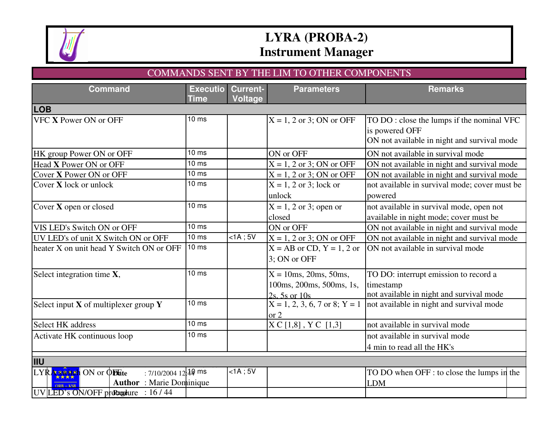

#### COMMANDS SENT BY THE LIM TO OTHER COMPONENTS

| <b>Command</b>                                                                                                             | <b>Executio</b><br>Time | <b>Current-</b><br><b>Voltage</b> | <b>Parameters</b>                                                        | <b>Remarks</b>                                                                                             |
|----------------------------------------------------------------------------------------------------------------------------|-------------------------|-----------------------------------|--------------------------------------------------------------------------|------------------------------------------------------------------------------------------------------------|
| <b>LOB</b>                                                                                                                 |                         |                                   |                                                                          |                                                                                                            |
| VFC X Power ON or OFF                                                                                                      | 10 <sub>ms</sub>        |                                   | $X = 1, 2$ or 3; ON or OFF                                               | TO DO: close the lumps if the nominal VFC<br>is powered OFF<br>ON not available in night and survival mode |
| HK group Power ON or OFF                                                                                                   | 10 <sub>ms</sub>        |                                   | ON or OFF                                                                | ON not available in survival mode                                                                          |
| Head X Power ON or OFF                                                                                                     | 10 <sub>ms</sub>        |                                   | $X = 1, 2$ or 3; ON or OFF                                               | ON not available in night and survival mode                                                                |
| Cover X Power ON or OFF                                                                                                    | 10 <sub>ms</sub>        |                                   | $X = 1, 2$ or 3; ON or OFF                                               | ON not available in night and survival mode                                                                |
| Cover X lock or unlock                                                                                                     | $10 \text{ ms}$         |                                   | $X = 1, 2$ or 3; lock or<br>unlock                                       | not available in survival mode; cover must be<br>powered                                                   |
| Cover X open or closed                                                                                                     | 10 <sub>ms</sub>        |                                   | $X = 1, 2$ or 3; open or<br>closed                                       | not available in survival mode, open not<br>available in night mode; cover must be                         |
| VIS LED's Switch ON or OFF                                                                                                 | 10 <sub>ms</sub>        |                                   | ON or OFF                                                                | ON not available in night and survival mode                                                                |
| UV LED's of unit X Switch ON or OFF                                                                                        | $10 \text{ ms}$         | $<$ 1A; 5V                        | $X = 1, 2$ or 3; ON or OFF                                               | ON not available in night and survival mode                                                                |
| heater X on unit head Y Switch ON or OFF                                                                                   | 10 <sub>ms</sub>        |                                   | $X = AB$ or CD, $Y = 1, 2$ or<br>3: ON or OFF                            | ON not available in survival mode                                                                          |
| Select integration time X,                                                                                                 | 10 <sub>ms</sub>        |                                   | $X = 10$ ms, 20ms, 50ms,<br>100ms, 200ms, 500ms, 1s,<br>$2s.5s$ or $10s$ | TO DO: interrupt emission to record a<br>timestamp<br>not available in night and survival mode             |
| Select input $X$ of multiplexer group $Y$                                                                                  | 10 <sub>ms</sub>        |                                   | $X = 1, 2, 3, 6, 7$ or 8; $Y = 1$<br>or 2                                | not available in night and survival mode                                                                   |
| Select HK address                                                                                                          | 10 <sub>ms</sub>        |                                   | $X \subset [1,8]$ , $Y \subset [1,3]$                                    | not available in survival mode                                                                             |
| Activate HK continuous loop                                                                                                | 10 <sub>ms</sub>        |                                   |                                                                          | not available in survival mode                                                                             |
|                                                                                                                            |                         |                                   |                                                                          | 4 min to read all the HK's                                                                                 |
| <b>IIU</b>                                                                                                                 |                         |                                   |                                                                          |                                                                                                            |
| : 7/10/2004 12:49 ms<br>LYRA switch ON or ODate<br><b>Author</b> : Marie Dominique<br>$UV$ LED's ON/OFF proceedure : 16/44 |                         | $lt; 1A$ ; 5V                     |                                                                          | TO DO when OFF : to close the lumps in the<br>LDM                                                          |
|                                                                                                                            |                         |                                   |                                                                          |                                                                                                            |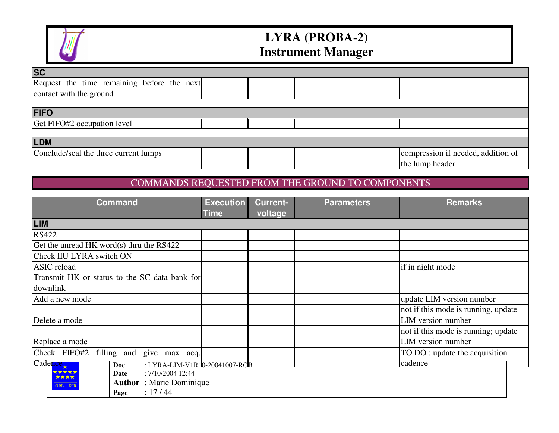

| <b>SC</b>                                  |  |                                    |
|--------------------------------------------|--|------------------------------------|
| Request the time remaining before the next |  |                                    |
| contact with the ground                    |  |                                    |
|                                            |  |                                    |
| <b>FIFO</b>                                |  |                                    |
| Get FIFO#2 occupation level                |  |                                    |
|                                            |  |                                    |
| <b>LDM</b>                                 |  |                                    |
| Conclude/seal the three current lumps      |  | compression if needed, addition of |
|                                            |  | the lump header                    |

#### COMMANDS REQUESTED FROM THE GROUND TO COMPONENTS

| <b>Command</b>                                          | <b>Execution</b> | <b>Current-</b> | <b>Parameters</b> | <b>Remarks</b>                      |
|---------------------------------------------------------|------------------|-----------------|-------------------|-------------------------------------|
|                                                         | <b>Time</b>      | voltage         |                   |                                     |
| <b>LIM</b>                                              |                  |                 |                   |                                     |
| <b>RS422</b>                                            |                  |                 |                   |                                     |
| Get the unread HK word(s) thru the RS422                |                  |                 |                   |                                     |
| Check IIU LYRA switch ON                                |                  |                 |                   |                                     |
| ASIC reload                                             |                  |                 |                   | if in night mode                    |
| Transmit HK or status to the SC data bank for           |                  |                 |                   |                                     |
| downlink                                                |                  |                 |                   |                                     |
| Add a new mode                                          |                  |                 |                   | update LIM version number           |
|                                                         |                  |                 |                   | not if this mode is running, update |
| Delete a mode                                           |                  |                 |                   | LIM version number                  |
|                                                         |                  |                 |                   | not if this mode is running; update |
| Replace a mode                                          |                  |                 |                   | LIM version number                  |
| Check FIFO#2<br>filling and<br>give max acq.            |                  |                 |                   | TO DO: update the acquisition       |
| Cadence,<br>$\cdot$ I YRA-LIM-V1R10-20041007-ROB<br>Doc |                  |                 |                   | cadence                             |
| *****<br>: 7/10/2004 12:44<br>Date<br>****              |                  |                 |                   |                                     |
| <b>Author</b> : Marie Dominique<br>$ORB - KSB$          |                  |                 |                   |                                     |
| : 17/44<br>Page                                         |                  |                 |                   |                                     |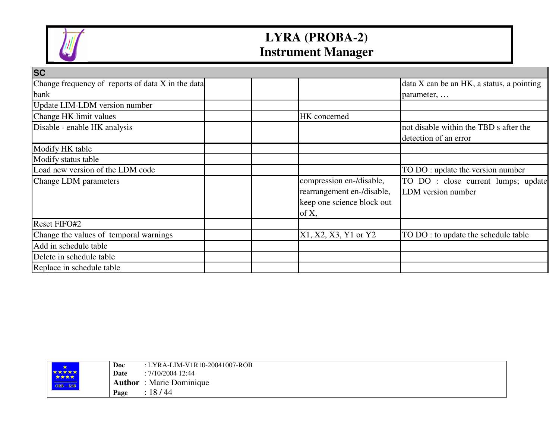

| <b>ISC</b>                                        |                            |                                           |
|---------------------------------------------------|----------------------------|-------------------------------------------|
| Change frequency of reports of data X in the data |                            | data X can be an HK, a status, a pointing |
| <b>bank</b>                                       |                            | parameter,                                |
| Update LIM-LDM version number                     |                            |                                           |
| Change HK limit values                            | HK concerned               |                                           |
| Disable - enable HK analysis                      |                            | not disable within the TBD s after the    |
|                                                   |                            | detection of an error                     |
| Modify HK table                                   |                            |                                           |
| Modify status table                               |                            |                                           |
| Load new version of the LDM code                  |                            | TO DO : update the version number         |
| Change LDM parameters                             | compression en-/disable,   | TO DO: close current lumps; update        |
|                                                   | rearrangement en-/disable, | LDM version number                        |
|                                                   | keep one science block out |                                           |
|                                                   | of X,                      |                                           |
| <b>Reset FIFO#2</b>                               |                            |                                           |
| Change the values of temporal warnings            | X1, X2, X3, Y1 or Y2       | TO DO : to update the schedule table      |
| Add in schedule table                             |                            |                                           |
| Delete in schedule table                          |                            |                                           |
| Replace in schedule table                         |                            |                                           |

|                                                                                                                                                                                            | Doc  | : LYRA-LIM-V1R10-20041007-ROB   |
|--------------------------------------------------------------------------------------------------------------------------------------------------------------------------------------------|------|---------------------------------|
| *****                                                                                                                                                                                      | Date | : 7/10/2004 12:44               |
| $\mathcal{L}^{\text{max}}_{\text{max}}$ and $\mathcal{L}^{\text{max}}_{\text{max}}$ and $\mathcal{L}^{\text{max}}_{\text{max}}$ and $\mathcal{L}^{\text{max}}_{\text{max}}$<br>$ORB - KSB$ |      | <b>Author</b> : Marie Dominique |
|                                                                                                                                                                                            | Page | : 18/44                         |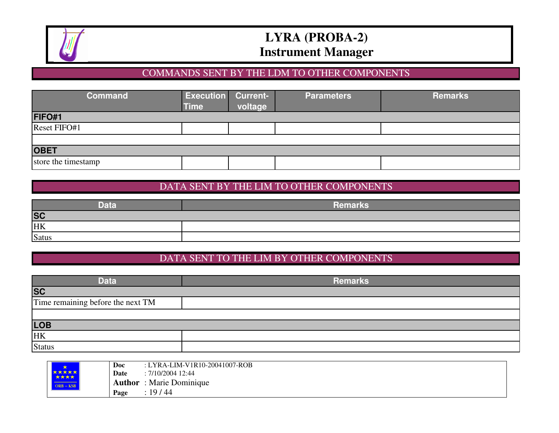

#### COMMANDS SENT BY THE LDM TO OTHER COMPONENTS

| <b>Command</b>      | <b>Execution Current-</b><br><b>Time</b> | voltage | <b>Parameters</b> | <b>Remarks</b> |
|---------------------|------------------------------------------|---------|-------------------|----------------|
| <b>FIFO#1</b>       |                                          |         |                   |                |
| Reset FIFO#1        |                                          |         |                   |                |
|                     |                                          |         |                   |                |
| <b>OBET</b>         |                                          |         |                   |                |
| store the timestamp |                                          |         |                   |                |

#### DATA SENT BY THE LIM TO OTHER COMPONENTS

| <b>Data</b>  | <b>Remarks</b> |
|--------------|----------------|
| <b>SC</b>    |                |
| HK           |                |
| <b>Satus</b> |                |

### DATA SENT TO THE LIM BY OTHER COMPONENTS

| <b>Data</b>                       | <b>Remarks</b> |
|-----------------------------------|----------------|
| <b>SC</b>                         |                |
| Time remaining before the next TM |                |
|                                   |                |
| LOB                               |                |
| <b>HK</b>                         |                |
| <b>Status</b>                     |                |

| *                    | Doc    | : LYRA-LIM-V1R10-20041007-ROB |
|----------------------|--------|-------------------------------|
| <b>大大大大大</b><br>大大大大 | Date   | : 7/10/2004 12:44             |
| $ORB - KSB$          | Author | : Marie Dominique             |
|                      | Page   | 19/44                         |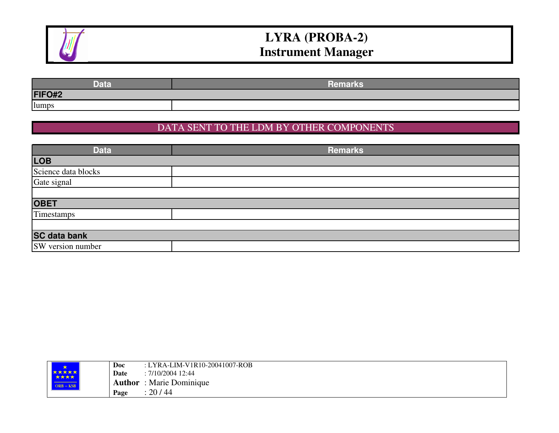

| Data   | Remarks |
|--------|---------|
| FIFO#2 |         |
| lumps  |         |

#### DATA SENT TO THE LDM BY OTHER COMPONENTS

| <b>Data</b>         | <b>Remarks</b> |
|---------------------|----------------|
| <b>LOB</b>          |                |
| Science data blocks |                |
| Gate signal         |                |
|                     |                |
| <b>OBET</b>         |                |
| Timestamps          |                |
|                     |                |
| <b>SC data bank</b> |                |
| SW version number   |                |

| <b>SEA</b>           | Doc    | : LYRA-LIM-V1R10-20041007-ROB |
|----------------------|--------|-------------------------------|
| <b>*****</b><br>**** | Date   | $: 7/10/2004$ 12:44           |
| $ORB - KSB$          | Author | : Marie Dominique             |
|                      | Page   | 20/44                         |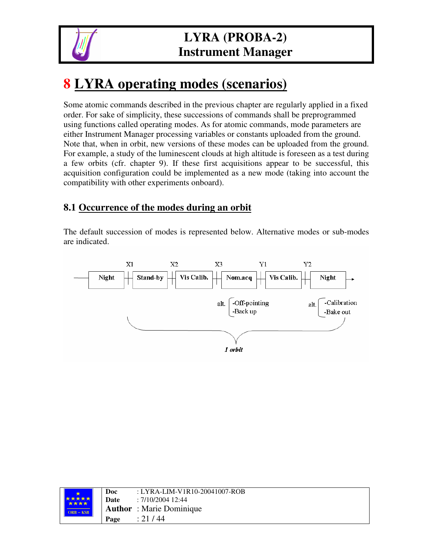

# **8 LYRA operating modes (scenarios)**

Some atomic commands described in the previous chapter are regularly applied in a fixed order. For sake of simplicity, these successions of commands shall be preprogrammed using functions called operating modes. As for atomic commands, mode parameters are either Instrument Manager processing variables or constants uploaded from the ground. Note that, when in orbit, new versions of these modes can be uploaded from the ground. For example, a study of the luminescent clouds at high altitude is foreseen as a test during a few orbits (cfr. chapter 9). If these first acquisitions appear to be successful, this acquisition configuration could be implemented as a new mode (taking into account the compatibility with other experiments onboard).

#### **8.1 Occurrence of the modes during an orbit**

The default succession of modes is represented below. Alternative modes or sub-modes are indicated.



|               | Doc  | : LYRA-LIM-V1R10-20041007-ROB   |
|---------------|------|---------------------------------|
| *****<br>**** | Date | : 7/10/2004 12:44               |
| $ORB - KSB$   |      | <b>Author</b> : Marie Dominique |
|               | Page | : 21/44                         |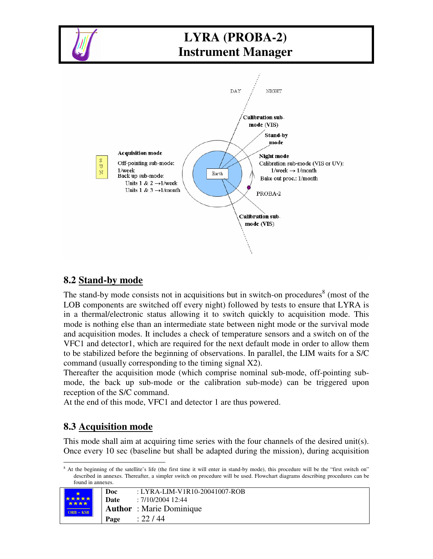

#### **8.2 Stand-by mode**

The stand-by mode consists not in acquisitions but in switch-on procedures<sup>8</sup> (most of the LOB components are switched off every night) followed by tests to ensure that LYRA is in a thermal/electronic status allowing it to switch quickly to acquisition mode. This mode is nothing else than an intermediate state between night mode or the survival mode and acquisition modes. It includes a check of temperature sensors and a switch on of the VFC1 and detector1, which are required for the next default mode in order to allow them to be stabilized before the beginning of observations. In parallel, the LIM waits for a S/C command (usually corresponding to the timing signal X2).

Thereafter the acquisition mode (which comprise nominal sub-mode, off-pointing submode, the back up sub-mode or the calibration sub-mode) can be triggered upon reception of the S/C command.

At the end of this mode, VFC1 and detector 1 are thus powered.

#### **8.3 Acquisition mode**

This mode shall aim at acquiring time series with the four channels of the desired unit(s). Once every 10 sec (baseline but shall be adapted during the mission), during acquisition

<sup>8</sup> At the beginning of the satellite's life (the first time it will enter in stand-by mode), this procedure will be the "first switch on" described in annexes. Thereafter, a simpler switch on procedure will be used. Flowchart diagrams describing procedures can be found in annexes.

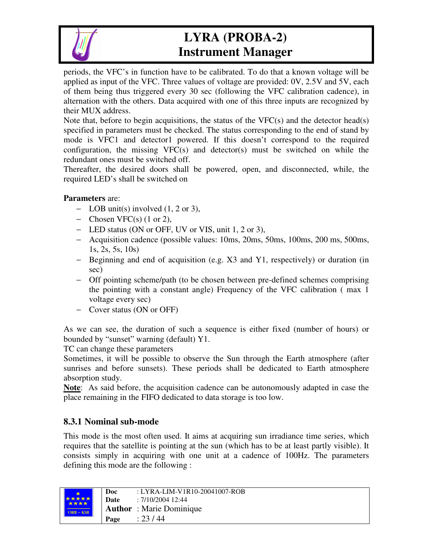

periods, the VFC's in function have to be calibrated. To do that a known voltage will be applied as input of the VFC. Three values of voltage are provided: 0V, 2.5V and 5V, each of them being thus triggered every 30 sec (following the VFC calibration cadence), in alternation with the others. Data acquired with one of this three inputs are recognized by their MUX address.

Note that, before to begin acquisitions, the status of the  $VFC(s)$  and the detector head(s) specified in parameters must be checked. The status corresponding to the end of stand by mode is VFC1 and detector1 powered. If this doesn't correspond to the required configuration, the missing  $VFC(s)$  and detector(s) must be switched on while the redundant ones must be switched off.

Thereafter, the desired doors shall be powered, open, and disconnected, while, the required LED's shall be switched on

#### **Parameters** are:

- − LOB unit(s) involved (1, 2 or 3),
- − Chosen VFC(s) (1 or 2),
- − LED status (ON or OFF, UV or VIS, unit 1, 2 or 3),
- − Acquisition cadence (possible values: 10ms, 20ms, 50ms, 100ms, 200 ms, 500ms, 1s, 2s, 5s, 10s)
- − Beginning and end of acquisition (e.g. X3 and Y1, respectively) or duration (in sec)
- − Off pointing scheme/path (to be chosen between pre-defined schemes comprising the pointing with a constant angle) Frequency of the VFC calibration ( max 1 voltage every sec)
- − Cover status (ON or OFF)

As we can see, the duration of such a sequence is either fixed (number of hours) or bounded by "sunset" warning (default) Y1.

TC can change these parameters

Sometimes, it will be possible to observe the Sun through the Earth atmosphere (after sunrises and before sunsets). These periods shall be dedicated to Earth atmosphere absorption study.

**Note**: As said before, the acquisition cadence can be autonomously adapted in case the place remaining in the FIFO dedicated to data storage is too low.

#### **8.3.1 Nominal sub-mode**

This mode is the most often used. It aims at acquiring sun irradiance time series, which requires that the satellite is pointing at the sun (which has to be at least partly visible). It consists simply in acquiring with one unit at a cadence of 100Hz. The parameters defining this mode are the following :

| *****       | Doc  | : LYRA-LIM-V1R10-20041007-ROB   |
|-------------|------|---------------------------------|
| ****        | Date | : 7/10/2004 12:44               |
| $ORB - KSB$ |      | <b>Author</b> : Marie Dominique |
|             | Page | : 23/44                         |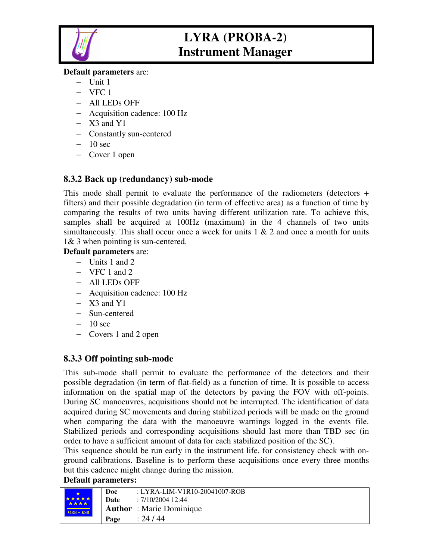

#### **Default parameters** are:

- − Unit 1
- − VFC 1
- − All LEDs OFF
- − Acquisition cadence: 100 Hz
- − X3 and Y1
- − Constantly sun-centered
- − 10 sec
- − Cover 1 open

#### **8.3.2 Back up (redundancy) sub-mode**

This mode shall permit to evaluate the performance of the radiometers (detectors + filters) and their possible degradation (in term of effective area) as a function of time by comparing the results of two units having different utilization rate. To achieve this, samples shall be acquired at 100Hz (maximum) in the 4 channels of two units simultaneously. This shall occur once a week for units  $1 \& 2$  and once a month for units 1& 3 when pointing is sun-centered.

#### **Default parameters** are:

- − Units 1 and 2
- − VFC 1 and 2
- − All LEDs OFF
- − Acquisition cadence: 100 Hz
- − X3 and Y1
- − Sun-centered
- − 10 sec
- − Covers 1 and 2 open

#### **8.3.3 Off pointing sub-mode**

This sub-mode shall permit to evaluate the performance of the detectors and their possible degradation (in term of flat-field) as a function of time. It is possible to access information on the spatial map of the detectors by paving the FOV with off-points. During SC manoeuvres, acquisitions should not be interrupted. The identification of data acquired during SC movements and during stabilized periods will be made on the ground when comparing the data with the manoeuvre warnings logged in the events file. Stabilized periods and corresponding acquisitions should last more than TBD sec (in order to have a sufficient amount of data for each stabilized position of the SC).

This sequence should be run early in the instrument life, for consistency check with onground calibrations. Baseline is to perform these acquisitions once every three months but this cadence might change during the mission.

#### **Default parameters:**

|                             | Doc  | : LYRA-LIM-V1R10-20041007-ROB   |
|-----------------------------|------|---------------------------------|
| <b>*****</b><br><b>****</b> | Date | : 7/10/2004 12:44               |
| $ORB - KSB$                 |      | <b>Author</b> : Marie Dominique |
|                             | Page | : 24/44                         |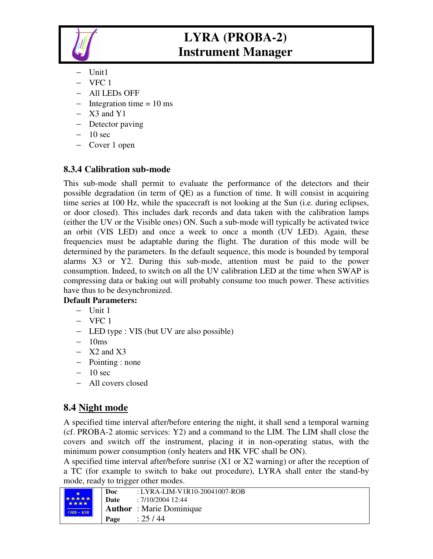

- Unit1
- − VFC 1
- − All LEDs OFF
- − Integration time = 10 ms
- − X3 and Y1
- − Detector paving
- − 10 sec
- − Cover 1 open

### **8.3.4 Calibration sub-mode**

This sub-mode shall permit to evaluate the performance of the detectors and their possible degradation (in term of QE) as a function of time. It will consist in acquiring time series at 100 Hz, while the spacecraft is not looking at the Sun (i.e. during eclipses, or door closed). This includes dark records and data taken with the calibration lamps (either the UV or the Visible ones) ON. Such a sub-mode will typically be activated twice an orbit (VIS LED) and once a week to once a month (UV LED). Again, these frequencies must be adaptable during the flight. The duration of this mode will be determined by the parameters. In the default sequence, this mode is bounded by temporal alarms X3 or Y2. During this sub-mode, attention must be paid to the power consumption. Indeed, to switch on all the UV calibration LED at the time when SWAP is compressing data or baking out will probably consume too much power. These activities have thus to be desynchronized.

#### **Default Parameters:**

- − Unit 1
- − VFC 1
- − LED type : VIS (but UV are also possible)
- − 10ms
- − X2 and X3
- − Pointing : none
- − 10 sec
- − All covers closed

### **8.4 Night mode**

A specified time interval after/before entering the night, it shall send a temporal warning (cf. PROBA-2 atomic services: Y2) and a command to the LIM. The LIM shall close the covers and switch off the instrument, placing it in non-operating status, with the minimum power consumption (only heaters and HK VFC shall be ON).

A specified time interval after/before sunrise (X1 or X2 warning) or after the reception of a TC (for example to switch to bake out procedure), LYRA shall enter the stand-by mode, ready to trigger other modes.

|                      | Doc  | : LYRA-LIM-V1R10-20041007-ROB   |
|----------------------|------|---------------------------------|
| <b>*****</b><br>**** | Date | : 7/10/2004 12:44               |
| $ORB - KSB$          |      | <b>Author</b> : Marie Dominique |
|                      | Page | : 25/44                         |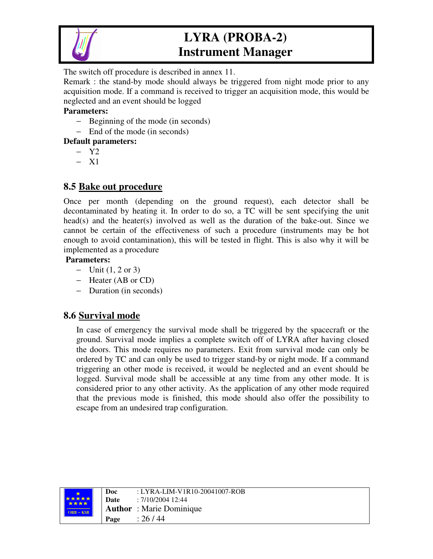

The switch off procedure is described in annex 11.

Remark : the stand-by mode should always be triggered from night mode prior to any acquisition mode. If a command is received to trigger an acquisition mode, this would be neglected and an event should be logged

#### **Parameters:**

- − Beginning of the mode (in seconds)
- − End of the mode (in seconds)

#### **Default parameters:**

- − Y2
- − X1

#### **8.5 Bake out procedure**

Once per month (depending on the ground request), each detector shall be decontaminated by heating it. In order to do so, a TC will be sent specifying the unit head(s) and the heater(s) involved as well as the duration of the bake-out. Since we cannot be certain of the effectiveness of such a procedure (instruments may be hot enough to avoid contamination), this will be tested in flight. This is also why it will be implemented as a procedure

#### **Parameters:**

- − Unit (1, 2 or 3)
- − Heater (AB or CD)
- − Duration (in seconds)

#### **8.6 Survival mode**

In case of emergency the survival mode shall be triggered by the spacecraft or the ground. Survival mode implies a complete switch off of LYRA after having closed the doors. This mode requires no parameters. Exit from survival mode can only be ordered by TC and can only be used to trigger stand-by or night mode. If a command triggering an other mode is received, it would be neglected and an event should be logged. Survival mode shall be accessible at any time from any other mode. It is considered prior to any other activity. As the application of any other mode required that the previous mode is finished, this mode should also offer the possibility to escape from an undesired trap configuration.

| *****       | Doc<br>Date | : LYRA-LIM-V1R10-20041007-ROB<br>: 7/10/2004 12:44 |
|-------------|-------------|----------------------------------------------------|
| $ORB - KSB$ |             | <b>Author</b> : Marie Dominique                    |
|             | Page        | : 26/44                                            |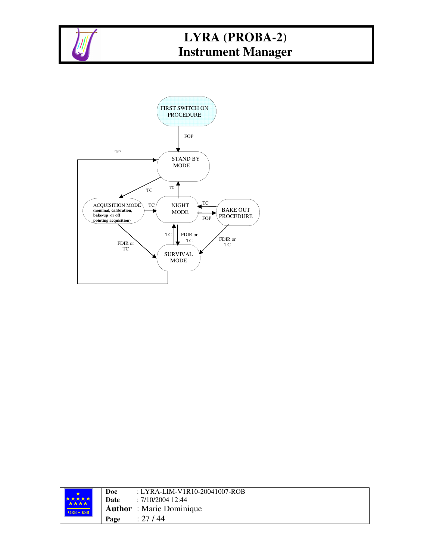



|                      | Doc  | : LYRA-LIM-V1R10-20041007-ROB   |
|----------------------|------|---------------------------------|
| *****<br><b>****</b> | Date | : 7/10/2004 12:44               |
| $ORB - KSB$          |      | <b>Author</b> : Marie Dominique |
|                      | Page | : 27/44                         |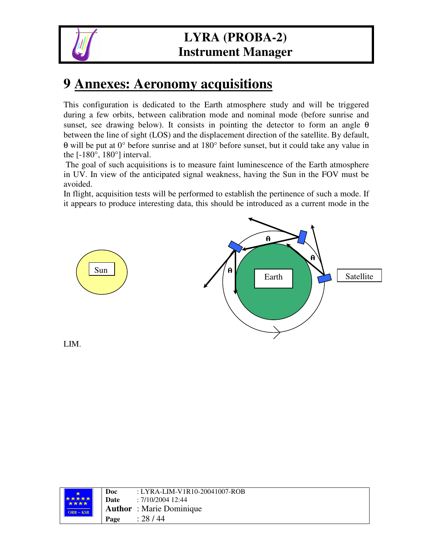

# **9 Annexes: Aeronomy acquisitions**

This configuration is dedicated to the Earth atmosphere study and will be triggered during a few orbits, between calibration mode and nominal mode (before sunrise and sunset, see drawing below). It consists in pointing the detector to form an angle  $\theta$ between the line of sight (LOS) and the displacement direction of the satellite. By default, θ will be put at 0° before sunrise and at 180° before sunset, but it could take any value in the  $[-180^\circ, 180^\circ]$  interval.

The goal of such acquisitions is to measure faint luminescence of the Earth atmosphere in UV. In view of the anticipated signal weakness, having the Sun in the FOV must be avoided.

In flight, acquisition tests will be performed to establish the pertinence of such a mode. If it appears to produce interesting data, this should be introduced as a current mode in the



| *****<br>**** | Doc<br>Date | : LYRA-LIM-V1R10-20041007-ROB<br>: 7/10/2004 12:44 |
|---------------|-------------|----------------------------------------------------|
| $ORB - KSB$   |             | <b>Author</b> : Marie Dominique                    |
|               | Page        | : 28/44                                            |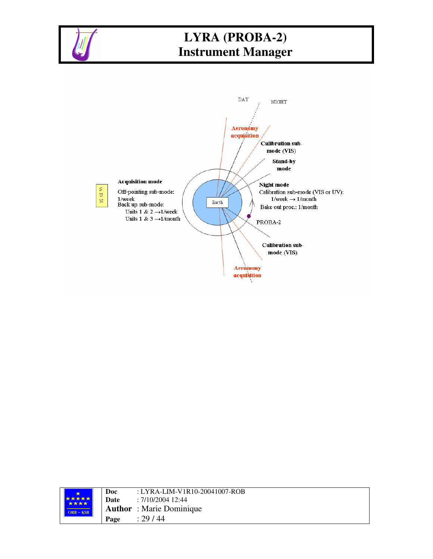



| *****       | Doc<br>Date | : LYRA-LIM-V1R10-20041007-ROB<br>: 7/10/2004 12:44 |
|-------------|-------------|----------------------------------------------------|
| $ORB - KSB$ |             | <b>Author</b> : Marie Dominique                    |
|             | Page        | : 29/44                                            |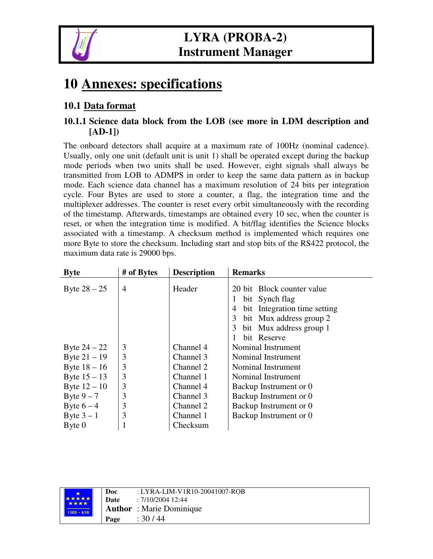

# **10 Annexes: specifications**

### **10.1 Data format**

#### **10.1.1 Science data block from the LOB (see more in LDM description and [AD-1])**

The onboard detectors shall acquire at a maximum rate of 100Hz (nominal cadence). Usually, only one unit (default unit is unit 1) shall be operated except during the backup mode periods when two units shall be used. However, eight signals shall always be transmitted from LOB to ADMPS in order to keep the same data pattern as in backup mode. Each science data channel has a maximum resolution of 24 bits per integration cycle. Four Bytes are used to store a counter, a flag, the integration time and the multiplexer addresses. The counter is reset every orbit simultaneously with the recording of the timestamp. Afterwards, timestamps are obtained every 10 sec, when the counter is reset, or when the integration time is modified. A bit/flag identifies the Science blocks associated with a timestamp. A checksum method is implemented which requires one more Byte to store the checksum. Including start and stop bits of the RS422 protocol, the maximum data rate is 29000 bps.

| <b>Byte</b>    | # of Bytes     | <b>Description</b> | <b>Remarks</b>                                                                                                                                                                   |
|----------------|----------------|--------------------|----------------------------------------------------------------------------------------------------------------------------------------------------------------------------------|
| Byte $28 - 25$ | $\overline{4}$ | Header             | 20 bit Block counter value<br>bit Synch flag<br>$\mathbf{I}$<br>bit Integration time setting<br>4<br>3<br>bit Mux address group 2<br>bit Mux address group 1<br>3<br>bit Reserve |
| Byte $24 - 22$ | 3              | Channel 4          | Nominal Instrument                                                                                                                                                               |
| Byte $21 - 19$ | 3              | Channel 3          | Nominal Instrument                                                                                                                                                               |
| Byte $18 - 16$ | 3              | Channel 2          | Nominal Instrument                                                                                                                                                               |
| Byte $15 - 13$ | 3              | Channel 1          | Nominal Instrument                                                                                                                                                               |
| Byte $12 - 10$ | 3              | Channel 4          | Backup Instrument or 0                                                                                                                                                           |
| Byte $9-7$     | 3              | Channel 3          | Backup Instrument or 0                                                                                                                                                           |
| Byte $6-4$     | 3              | Channel 2          | Backup Instrument or 0                                                                                                                                                           |
| Byte $3-1$     | 3              | Channel 1          | Backup Instrument or 0                                                                                                                                                           |
| $B$ yte $0$    |                | Checksum           |                                                                                                                                                                                  |

|                             | Doc  | : LYRA-LIM-V1R10-20041007-ROB   |
|-----------------------------|------|---------------------------------|
| <b>*****</b><br><b>****</b> | Date | : 7/10/2004 12:44               |
| $ORB - KSB$                 |      | <b>Author</b> : Marie Dominique |
|                             | Page | : 30 / 44                       |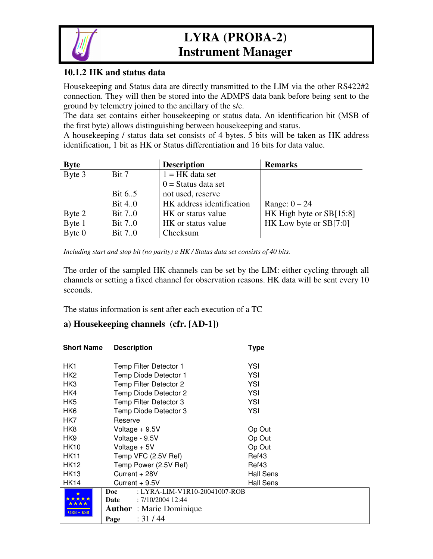

Housekeeping and Status data are directly transmitted to the LIM via the other RS422#2 connection. They will then be stored into the ADMPS data bank before being sent to the ground by telemetry joined to the ancillary of the s/c.

The data set contains either housekeeping or status data. An identification bit (MSB of the first byte) allows distinguishing between housekeeping and status.

A housekeeping / status data set consists of 4 bytes. 5 bits will be taken as HK address identification, 1 bit as HK or Status differentiation and 16 bits for data value.

| <b>Byte</b> |                | <b>Description</b>        | <b>Remarks</b>           |
|-------------|----------------|---------------------------|--------------------------|
| Byte 3      | Bit 7          | $1 = HK$ data set         |                          |
|             |                | $0 =$ Status data set     |                          |
|             | Bit 65         | not used, reserve         |                          |
|             | <b>Bit 4.0</b> | HK address identification | Range: $0 - 24$          |
| Byte 2      | <b>Bit 7.0</b> | HK or status value        | HK High byte or SB[15:8] |
| Byte 1      | <b>Bit 7.0</b> | HK or status value        | HK Low byte or SB[7:0]   |
| Byte 0      | Bit 70         | Checksum                  |                          |

*Including start and stop bit (no parity) a HK / Status data set consists of 40 bits.*

The order of the sampled HK channels can be set by the LIM: either cycling through all channels or setting a fixed channel for observation reasons. HK data will be sent every 10 seconds.

The status information is sent after each execution of a TC

#### **a) Housekeeping channels (cfr. [AD-1])**

| <b>Short Name</b> | <b>Description</b>                                           | Type      |  |
|-------------------|--------------------------------------------------------------|-----------|--|
|                   |                                                              |           |  |
| HK1               | Temp Filter Detector 1                                       | YSI       |  |
| HK <sub>2</sub>   | Temp Diode Detector 1                                        | YSI       |  |
| HK3               | Temp Filter Detector 2                                       | YSI       |  |
| HK4               | Temp Diode Detector 2                                        | YSI       |  |
| HK <sub>5</sub>   | Temp Filter Detector 3                                       | YSI       |  |
| HK6               | Temp Diode Detector 3                                        | YSI       |  |
| HK7               | Reserve                                                      |           |  |
| HK8               | Voltage $+9.5V$                                              | Op Out    |  |
| HK9               | Voltage - 9.5V                                               | Op Out    |  |
| HK10              | Voltage $+5V$                                                | Op Out    |  |
| <b>HK11</b>       | Temp VFC (2.5V Ref)                                          | Ref43     |  |
| HK12              | Temp Power (2.5V Ref)                                        | Ref43     |  |
| <b>HK13</b>       | Current + 28V                                                | Hall Sens |  |
| HK14              | Current + 9.5V                                               | Hall Sens |  |
|                   | Doc<br>: LYRA-LIM-V1R10-20041007-ROB                         |           |  |
|                   | : 7/10/2004 12:44<br>Date<br><b>Author</b> : Marie Dominique |           |  |
| $ORB - KSB$       |                                                              |           |  |
|                   | : 31 / 44<br>Page                                            |           |  |

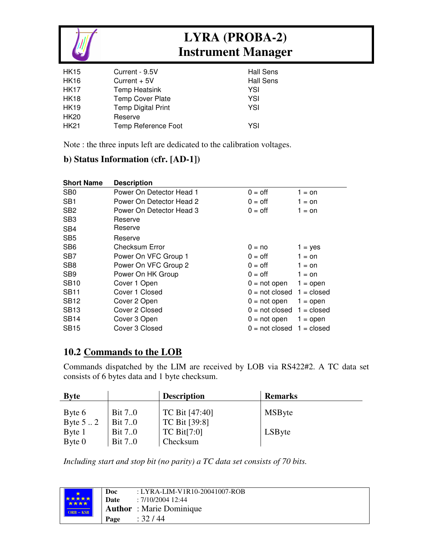

| <b>HK15</b> | Current - 9.5V            | <b>Hall Sens</b> |
|-------------|---------------------------|------------------|
| <b>HK16</b> | Current $+5V$             | <b>Hall Sens</b> |
| <b>HK17</b> | Temp Heatsink             | YSI              |
| <b>HK18</b> | <b>Temp Cover Plate</b>   | YSI              |
| <b>HK19</b> | <b>Temp Digital Print</b> | YSI              |
| <b>HK20</b> | Reserve                   |                  |
| <b>HK21</b> | Temp Reference Foot       | YSI              |
|             |                           |                  |

Note : the three inputs left are dedicated to the calibration voltages.

#### **b) Status Information (cfr. [AD-1])**

| <b>Short Name</b> | <b>Description</b>       |                                    |              |
|-------------------|--------------------------|------------------------------------|--------------|
| SB <sub>0</sub>   | Power On Detector Head 1 | $0 = \text{off}$                   | $1 =$ on     |
| SB <sub>1</sub>   | Power On Detector Head 2 | $0 = \text{off}$                   | 1 = on       |
| SB <sub>2</sub>   | Power On Detector Head 3 | $0 = \text{off}$                   | $1 =$ on     |
| SB <sub>3</sub>   | Reserve                  |                                    |              |
| SB <sub>4</sub>   | Reserve                  |                                    |              |
| SB <sub>5</sub>   | Reserve                  |                                    |              |
| SB <sub>6</sub>   | Checksum Error           | $0 = no$                           | $1 = yes$    |
| SB <sub>7</sub>   | Power On VFC Group 1     | $0 = \text{oft}$                   | $1 =$ on     |
| SB <sub>8</sub>   | Power On VFC Group 2     | $0 = \text{off}$                   | $1 =$ on     |
| SB <sub>9</sub>   | Power On HK Group        | $0 = \text{off}$                   | $1 =$ on     |
| <b>SB10</b>       | Cover 1 Open             | $0 = not open$                     | $1 =$ open   |
| <b>SB11</b>       | Cover 1 Closed           | $0 = \text{not closed}$            | $1 = closed$ |
| <b>SB12</b>       | Cover 2 Open             | $0 = not open$                     | $1 =$ open   |
| <b>SB13</b>       | Cover 2 Closed           | $0 = \text{not closed}$ 1 = closed |              |
| <b>SB14</b>       | Cover 3 Open             | $0 = not open$                     | $1 =$ open   |
| <b>SB15</b>       | Cover 3 Closed           | $0 = not closed$ 1 = closed        |              |

#### **10.2 Commands to the LOB**

Commands dispatched by the LIM are received by LOB via RS422#2. A TC data set consists of 6 bytes data and 1 byte checksum.

| <b>Byte</b>      |                | <b>Description</b> | <b>Remarks</b> |
|------------------|----------------|--------------------|----------------|
| Byte 6           | <b>Bit 7.0</b> | TC Bit [47:40]     | <b>MSByte</b>  |
| Byte $5 \dots 2$ | <b>Bit 7.0</b> | TC Bit [39:8]      |                |
| Byte 1           | <b>Bit 7.0</b> | TC Bit $[7:0]$     | LSByte         |
| Byte 0           | <b>Bit 7.0</b> | Checksum           |                |

*Including start and stop bit (no parity) a TC data set consists of 70 bits.*

| *****       | Doc<br>Date | : LYRA-LIM-V1R10-20041007-ROB<br>: 7/10/2004 12:44 |
|-------------|-------------|----------------------------------------------------|
| $ORB - KSB$ |             | <b>Author</b> : Marie Dominique                    |
|             | Page        | : 32 / 44                                          |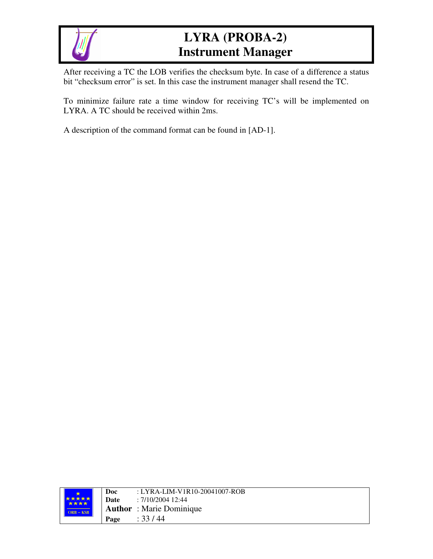

After receiving a TC the LOB verifies the checksum byte. In case of a difference a status bit "checksum error" is set. In this case the instrument manager shall resend the TC.

To minimize failure rate a time window for receiving TC's will be implemented on LYRA. A TC should be received within 2ms.

A description of the command format can be found in [AD-1].

|                                    | Doc  | : LYRA-LIM-V1R10-20041007-ROB   |
|------------------------------------|------|---------------------------------|
| <b>大大大大</b><br>****<br>$ORB - KSB$ | Date | : 7/10/2004 12:44               |
|                                    |      | <b>Author</b> : Marie Dominique |
|                                    | Page | : 33/44                         |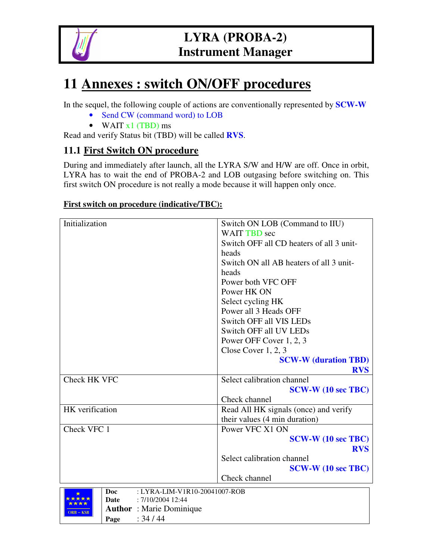

# **11 Annexes : switch ON/OFF procedures**

In the sequel, the following couple of actions are conventionally represented by **SCW-W**

- Send CW (command word) to LOB
- WAIT  $x1$  (TBD) ms

Read and verify Status bit (TBD) will be called **RVS**.

#### **11.1 First Switch ON procedure**

During and immediately after launch, all the LYRA S/W and H/W are off. Once in orbit, LYRA has to wait the end of PROBA-2 and LOB outgasing before switching on. This first switch ON procedure is not really a mode because it will happen only once.

#### **First switch on procedure (indicative/TBC):**

| Initialization  | Switch ON LOB (Command to IIU)           |
|-----------------|------------------------------------------|
|                 | <b>WAIT TBD</b> sec                      |
|                 | Switch OFF all CD heaters of all 3 unit- |
|                 | heads                                    |
|                 | Switch ON all AB heaters of all 3 unit-  |
|                 | heads                                    |
|                 | Power both VFC OFF                       |
|                 |                                          |
|                 | Power HK ON                              |
|                 | Select cycling HK                        |
|                 | Power all 3 Heads OFF                    |
|                 | Switch OFF all VIS LEDs                  |
|                 | Switch OFF all UV LEDs                   |
|                 | Power OFF Cover 1, 2, 3                  |
|                 | Close Cover $1, 2, 3$                    |
|                 | <b>SCW-W (duration TBD)</b>              |
|                 | <b>RVS</b>                               |
| Check HK VFC    | Select calibration channel               |
|                 | <b>SCW-W</b> (10 sec TBC)                |
|                 | Check channel                            |
| HK verification | Read All HK signals (once) and verify    |
|                 | their values (4 min duration)            |
| Check VFC 1     | Power VFC X1 ON                          |
|                 | <b>SCW-W (10 sec TBC)</b>                |
|                 | <b>RVS</b>                               |
|                 | Select calibration channel               |
|                 | <b>SCW-W</b> (10 sec TBC)                |
|                 | Check channel                            |
|                 |                                          |

|                      | Doc  | $: LYRA-LIM-V1R10-20041007-ROB$ |
|----------------------|------|---------------------------------|
| <b>*****</b><br>**** | Date | : 7/10/2004 12:44               |
| $ORB - KSB$          |      | <b>Author</b> : Marie Dominique |
|                      | Page | : 34/44                         |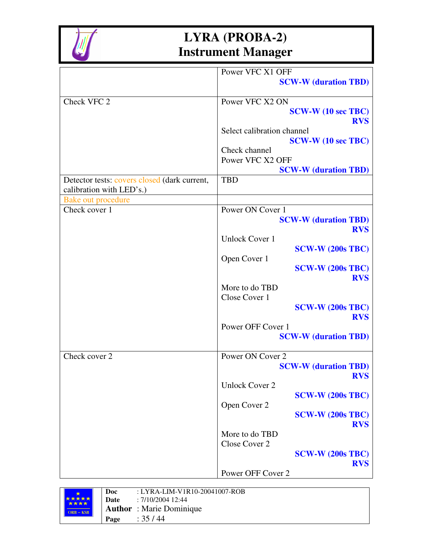

|                                              | Power VFC X1 OFF            |
|----------------------------------------------|-----------------------------|
|                                              | <b>SCW-W</b> (duration TBD) |
|                                              |                             |
| Check VFC 2                                  | Power VFC X2 ON             |
|                                              | <b>SCW-W (10 sec TBC)</b>   |
|                                              | <b>RVS</b>                  |
|                                              | Select calibration channel  |
|                                              | <b>SCW-W (10 sec TBC)</b>   |
|                                              | Check channel               |
|                                              | Power VFC X2 OFF            |
|                                              | <b>SCW-W (duration TBD)</b> |
| Detector tests: covers closed (dark current, | <b>TBD</b>                  |
| calibration with LED's.)                     |                             |
| Bake out procedure                           |                             |
| Check cover 1                                | Power ON Cover 1            |
|                                              | <b>SCW-W (duration TBD)</b> |
|                                              | <b>RVS</b>                  |
|                                              | <b>Unlock Cover 1</b>       |
|                                              | <b>SCW-W (200s TBC)</b>     |
|                                              | Open Cover 1                |
|                                              | $SCW-W (200s TBC)$          |
|                                              | <b>RVS</b>                  |
|                                              | More to do TBD              |
|                                              | Close Cover 1               |
|                                              | $SCW-W (200s TBC)$          |
|                                              | <b>RVS</b>                  |
|                                              | Power OFF Cover 1           |
|                                              | <b>SCW-W (duration TBD)</b> |
|                                              |                             |
| Check cover 2                                | Power ON Cover 2            |
|                                              | <b>SCW-W (duration TBD)</b> |
|                                              | <b>RVS</b>                  |
|                                              | <b>Unlock Cover 2</b>       |
|                                              | <b>SCW-W (200s TBC)</b>     |
|                                              | Open Cover 2                |
|                                              | <b>SCW-W (200s TBC)</b>     |
|                                              | <b>RVS</b>                  |
|                                              | More to do TBD              |
|                                              | Close Cover 2               |
|                                              | <b>SCW-W (200s TBC)</b>     |
|                                              | <b>RVS</b>                  |
|                                              | Power OFF Cover 2           |
|                                              |                             |

|                             | Doc  | : LYRA-LIM-V1R10-20041007-ROB   |
|-----------------------------|------|---------------------------------|
| <b>*****</b><br><b>****</b> | Date | : 7/10/2004 12:44               |
| $ORB - KSB$                 |      | <b>Author</b> : Marie Dominique |
|                             | Page | : 35 / 44                       |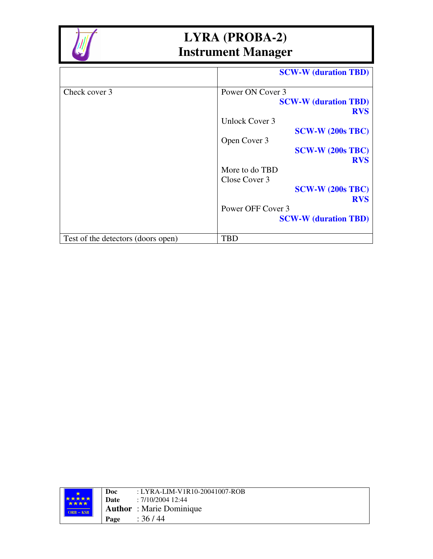

|                                    | <b>SCW-W (duration TBD)</b> |
|------------------------------------|-----------------------------|
| Check cover 3                      | Power ON Cover 3            |
|                                    | <b>SCW-W (duration TBD)</b> |
|                                    | <b>RVS</b>                  |
|                                    | Unlock Cover 3              |
|                                    | $SCW-W (200s TBC)$          |
|                                    | Open Cover 3                |
|                                    | $SCW-W (200s TBC)$          |
|                                    | <b>RVS</b>                  |
|                                    | More to do TBD              |
|                                    | Close Cover 3               |
|                                    | <b>SCW-W (200s TBC)</b>     |
|                                    | <b>RVS</b>                  |
|                                    | Power OFF Cover 3           |
|                                    | <b>SCW-W (duration TBD)</b> |
| Test of the detectors (doors open) | TBD                         |

| *****<br><b>****</b> | Doc<br>Date | : LYRA-LIM-V1R10-20041007-ROB<br>: 7/10/2004 12:44 |
|----------------------|-------------|----------------------------------------------------|
| $ORB - KSB$          |             | <b>Author</b> : Marie Dominique                    |
|                      | Page        | : 36 / 44                                          |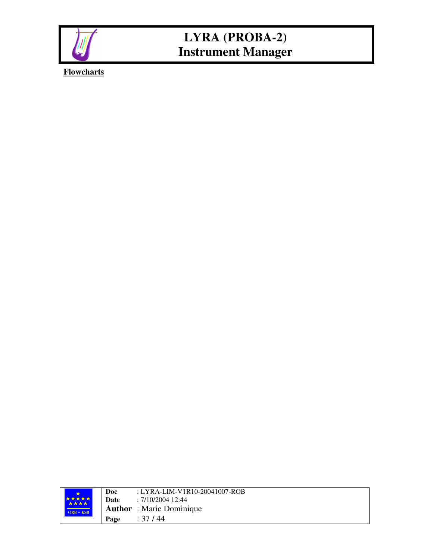

**Flowcharts**

|  | <b>****</b><br><b>****</b><br>$ORB - KSB$ | Doc  | : LYRA-LIM-V1R10-20041007-ROB   |
|--|-------------------------------------------|------|---------------------------------|
|  |                                           | Date | : 7/10/2004 12:44               |
|  |                                           |      | <b>Author</b> : Marie Dominique |
|  |                                           | Page | : 37 / 44                       |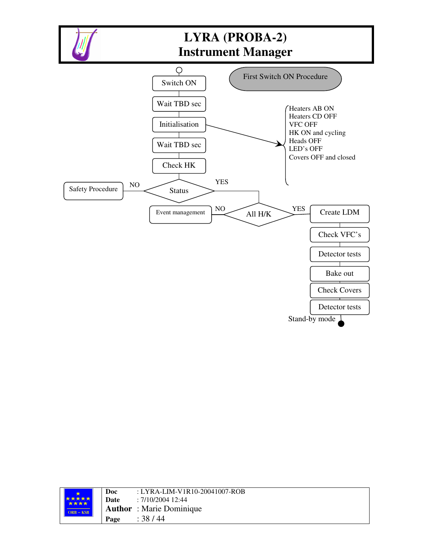

|  | <b>****</b><br>****<br>$ORE - KSB$ | Doc  | : LYRA-LIM-V1R10-20041007-ROB   |
|--|------------------------------------|------|---------------------------------|
|  |                                    | Date | : 7/10/2004 12:44               |
|  |                                    |      | <b>Author</b> : Marie Dominique |
|  |                                    | Page | : 38 / 44                       |